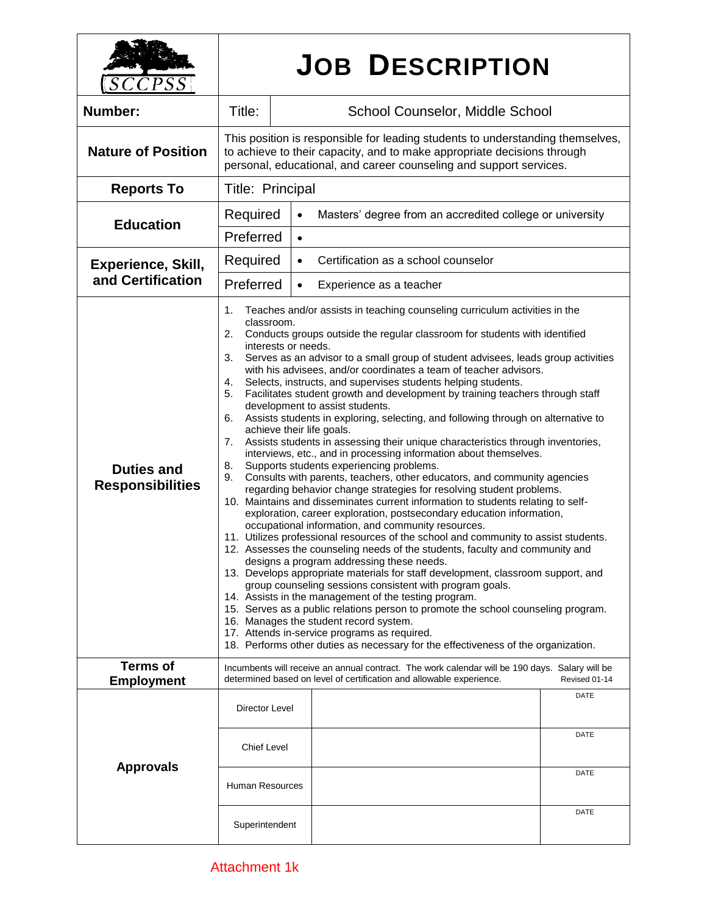| ${\it{CPSS}}$                                | <b>JOB DESCRIPTION</b>                                                                                                                                                                                                                                                                                                                                                                                                                                                                                                                                                                                                                                                                                                                                                                                                                                                                                                                                                                                                                                                                                                                                                                                                                                                                                                                                                                                                                                                                                                                                                                                                                                                                                                                                                                                                                                                                                                                                                                           |                                                                       |              |
|----------------------------------------------|--------------------------------------------------------------------------------------------------------------------------------------------------------------------------------------------------------------------------------------------------------------------------------------------------------------------------------------------------------------------------------------------------------------------------------------------------------------------------------------------------------------------------------------------------------------------------------------------------------------------------------------------------------------------------------------------------------------------------------------------------------------------------------------------------------------------------------------------------------------------------------------------------------------------------------------------------------------------------------------------------------------------------------------------------------------------------------------------------------------------------------------------------------------------------------------------------------------------------------------------------------------------------------------------------------------------------------------------------------------------------------------------------------------------------------------------------------------------------------------------------------------------------------------------------------------------------------------------------------------------------------------------------------------------------------------------------------------------------------------------------------------------------------------------------------------------------------------------------------------------------------------------------------------------------------------------------------------------------------------------------|-----------------------------------------------------------------------|--------------|
| Number:                                      | Title:                                                                                                                                                                                                                                                                                                                                                                                                                                                                                                                                                                                                                                                                                                                                                                                                                                                                                                                                                                                                                                                                                                                                                                                                                                                                                                                                                                                                                                                                                                                                                                                                                                                                                                                                                                                                                                                                                                                                                                                           | School Counselor, Middle School                                       |              |
| <b>Nature of Position</b>                    | This position is responsible for leading students to understanding themselves,<br>to achieve to their capacity, and to make appropriate decisions through<br>personal, educational, and career counseling and support services.                                                                                                                                                                                                                                                                                                                                                                                                                                                                                                                                                                                                                                                                                                                                                                                                                                                                                                                                                                                                                                                                                                                                                                                                                                                                                                                                                                                                                                                                                                                                                                                                                                                                                                                                                                  |                                                                       |              |
| <b>Reports To</b>                            | Title: Principal                                                                                                                                                                                                                                                                                                                                                                                                                                                                                                                                                                                                                                                                                                                                                                                                                                                                                                                                                                                                                                                                                                                                                                                                                                                                                                                                                                                                                                                                                                                                                                                                                                                                                                                                                                                                                                                                                                                                                                                 |                                                                       |              |
| <b>Education</b>                             | Required                                                                                                                                                                                                                                                                                                                                                                                                                                                                                                                                                                                                                                                                                                                                                                                                                                                                                                                                                                                                                                                                                                                                                                                                                                                                                                                                                                                                                                                                                                                                                                                                                                                                                                                                                                                                                                                                                                                                                                                         | Masters' degree from an accredited college or university<br>$\bullet$ |              |
|                                              | Preferred<br>$\bullet$                                                                                                                                                                                                                                                                                                                                                                                                                                                                                                                                                                                                                                                                                                                                                                                                                                                                                                                                                                                                                                                                                                                                                                                                                                                                                                                                                                                                                                                                                                                                                                                                                                                                                                                                                                                                                                                                                                                                                                           |                                                                       |              |
| Experience, Skill,<br>and Certification      | Required<br>Certification as a school counselor<br>$\bullet$                                                                                                                                                                                                                                                                                                                                                                                                                                                                                                                                                                                                                                                                                                                                                                                                                                                                                                                                                                                                                                                                                                                                                                                                                                                                                                                                                                                                                                                                                                                                                                                                                                                                                                                                                                                                                                                                                                                                     |                                                                       |              |
|                                              | Preferred<br>Experience as a teacher<br>$\bullet$                                                                                                                                                                                                                                                                                                                                                                                                                                                                                                                                                                                                                                                                                                                                                                                                                                                                                                                                                                                                                                                                                                                                                                                                                                                                                                                                                                                                                                                                                                                                                                                                                                                                                                                                                                                                                                                                                                                                                |                                                                       |              |
| <b>Duties and</b><br><b>Responsibilities</b> | Teaches and/or assists in teaching counseling curriculum activities in the<br>1.<br>classroom.<br>Conducts groups outside the regular classroom for students with identified<br>2.<br>interests or needs.<br>3.<br>Serves as an advisor to a small group of student advisees, leads group activities<br>with his advisees, and/or coordinates a team of teacher advisors.<br>Selects, instructs, and supervises students helping students.<br>4.<br>Facilitates student growth and development by training teachers through staff<br>5.<br>development to assist students.<br>Assists students in exploring, selecting, and following through on alternative to<br>6.<br>achieve their life goals.<br>Assists students in assessing their unique characteristics through inventories,<br>7.<br>interviews, etc., and in processing information about themselves.<br>Supports students experiencing problems.<br>8.<br>Consults with parents, teachers, other educators, and community agencies<br>9.<br>regarding behavior change strategies for resolving student problems.<br>10. Maintains and disseminates current information to students relating to self-<br>exploration, career exploration, postsecondary education information,<br>occupational information, and community resources.<br>11. Utilizes professional resources of the school and community to assist students.<br>12. Assesses the counseling needs of the students, faculty and community and<br>designs a program addressing these needs.<br>13. Develops appropriate materials for staff development, classroom support, and<br>group counseling sessions consistent with program goals.<br>14. Assists in the management of the testing program.<br>15. Serves as a public relations person to promote the school counseling program.<br>16. Manages the student record system.<br>17. Attends in-service programs as required.<br>18. Performs other duties as necessary for the effectiveness of the organization. |                                                                       |              |
| <b>Terms of</b><br><b>Employment</b>         | Incumbents will receive an annual contract. The work calendar will be 190 days. Salary will be<br>determined based on level of certification and allowable experience.<br>Revised 01-14                                                                                                                                                                                                                                                                                                                                                                                                                                                                                                                                                                                                                                                                                                                                                                                                                                                                                                                                                                                                                                                                                                                                                                                                                                                                                                                                                                                                                                                                                                                                                                                                                                                                                                                                                                                                          |                                                                       |              |
| <b>Approvals</b>                             | Director Level<br><b>Chief Level</b>                                                                                                                                                                                                                                                                                                                                                                                                                                                                                                                                                                                                                                                                                                                                                                                                                                                                                                                                                                                                                                                                                                                                                                                                                                                                                                                                                                                                                                                                                                                                                                                                                                                                                                                                                                                                                                                                                                                                                             |                                                                       | DATE<br>DATE |
|                                              | <b>Human Resources</b>                                                                                                                                                                                                                                                                                                                                                                                                                                                                                                                                                                                                                                                                                                                                                                                                                                                                                                                                                                                                                                                                                                                                                                                                                                                                                                                                                                                                                                                                                                                                                                                                                                                                                                                                                                                                                                                                                                                                                                           |                                                                       | DATE         |
|                                              | Superintendent                                                                                                                                                                                                                                                                                                                                                                                                                                                                                                                                                                                                                                                                                                                                                                                                                                                                                                                                                                                                                                                                                                                                                                                                                                                                                                                                                                                                                                                                                                                                                                                                                                                                                                                                                                                                                                                                                                                                                                                   |                                                                       | DATE         |

٦

 $\Gamma$ 

 $\mathbf{I}$